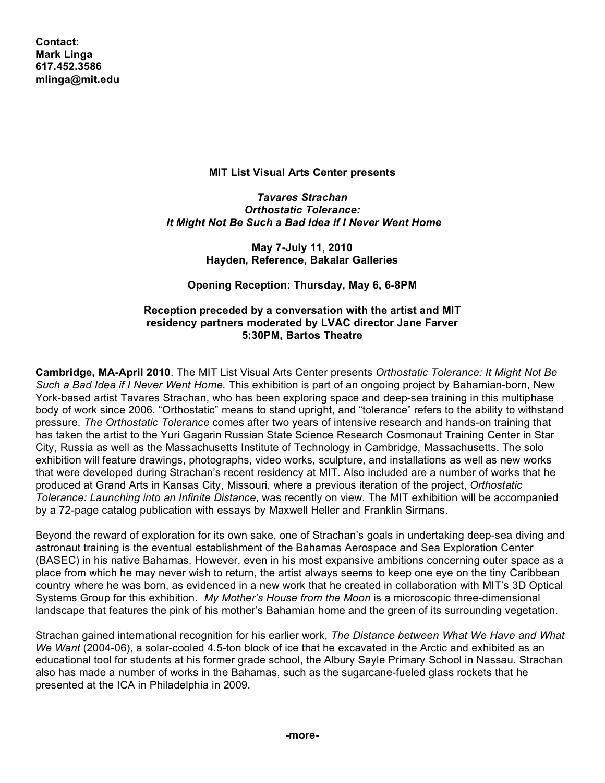**Contact: Mark Linga [617.452.3586](tel:6174523586) [mlinga@mit.edu](mailto:mlinga@mit.edu)**

## **MIT List Visual Arts Center presents**

*Tavares Strachan Orthostatic Tolerance: It Might Not Be Such a Bad Idea if I Never Went Home*

> **May 7-July 11, 2010 Hayden, Reference, Bakalar Galleries**

**Opening Reception: Thursday, May 6, 6-8PM**

## **Reception preceded by a conversation with the artist and MIT residency partners moderated by LVAC director Jane Farver 5:30PM, Bartos Theatre**

**Cambridge, MA-April 2010**. The MIT List Visual Arts Center presents *Orthostatic Tolerance: It Might Not Be Such a Bad Idea if I Never Went Home.* This exhibition is part of an ongoing project by Bahamian-born, New York-based artist Tavares Strachan, who has been exploring space and deep-sea training in this multiphase body of work since 2006. "Orthostatic" means to stand upright, and "tolerance" refers to the ability to withstand pressure. *The Orthostatic Tolerance* comes after two years of intensive research and hands-on training that has taken the artist to the Yuri Gagarin Russian State Science Research Cosmonaut Training Center in Star City, Russia as well as the Massachusetts Institute of Technology in Cambridge, Massachusetts. The solo exhibition will feature drawings, photographs, video works, sculpture, and installations as well as new works that were developed during Strachan's recent residency at MIT. Also included are a number of works that he produced at Grand Arts in Kansas City, Missouri, where a previous iteration of the project, *Orthostatic Tolerance: Launching into an Infinite Distance*, was recently on view. The MIT exhibition will be accompanied by a 72-page catalog publication with essays by Maxwell Heller and Franklin Sirmans.

Beyond the reward of exploration for its own sake, one of Strachan's goals in undertaking deep-sea diving and astronaut training is the eventual establishment of the Bahamas Aerospace and Sea Exploration Center (BASEC) in his native Bahamas. However, even in his most expansive ambitions concerning outer space as a place from which he may never wish to return, the artist always seems to keep one eye on the tiny Caribbean country where he was born, as evidenced in a new work that he created in collaboration with MIT's 3D Optical Systems Group for this exhibition. *My Mother's House from the Moon* is a microscopic three-dimensional landscape that features the pink of his mother's Bahamian home and the green of its surrounding vegetation.

Strachan gained international recognition for his earlier work, *The Distance between What We Have and What We Want* (2004-06), a solar-cooled 4.5-ton block of ice that he excavated in the Arctic and exhibited as an educational tool for students at his former grade school, the Albury Sayle Primary School in Nassau. Strachan also has made a number of works in the Bahamas, such as the sugarcane-fueled glass rockets that he presented at the ICA in Philadelphia in 2009.